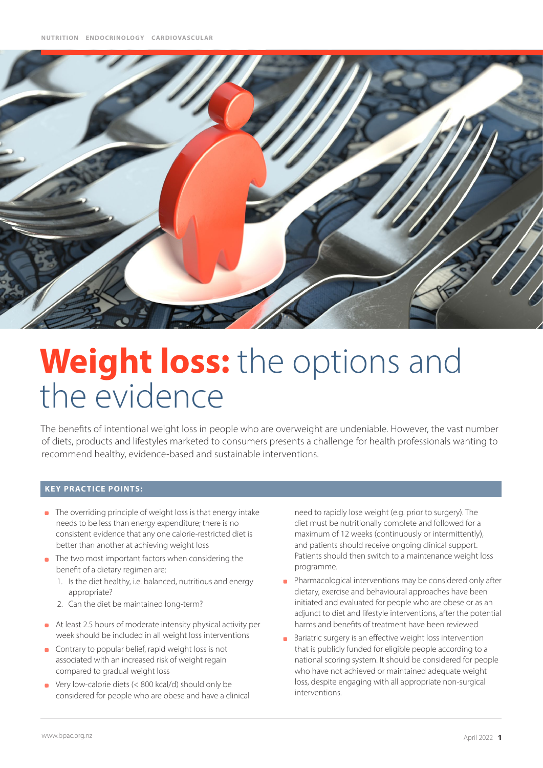

# **Weight loss:** the options and the evidence

The benefits of intentional weight loss in people who are overweight are undeniable. However, the vast number of diets, products and lifestyles marketed to consumers presents a challenge for health professionals wanting to recommend healthy, evidence-based and sustainable interventions.

## **KEY PRACTICE POINTS:**

- The overriding principle of weight loss is that energy intake needs to be less than energy expenditure; there is no consistent evidence that any one calorie-restricted diet is better than another at achieving weight loss
- **n** The two most important factors when considering the benefit of a dietary regimen are:
	- 1. Is the diet healthy, i.e. balanced, nutritious and energy appropriate?
	- 2. Can the diet be maintained long-term?
- At least 2.5 hours of moderate intensity physical activity per week should be included in all weight loss interventions
- **Contrary to popular belief, rapid weight loss is not** associated with an increased risk of weight regain compared to gradual weight loss
- Very low-calorie diets (< 800 kcal/d) should only be  $\mathbf{r}$ considered for people who are obese and have a clinical

need to rapidly lose weight (e.g. prior to surgery). The diet must be nutritionally complete and followed for a maximum of 12 weeks (continuously or intermittently), and patients should receive ongoing clinical support. Patients should then switch to a maintenance weight loss programme.

- Pharmacological interventions may be considered only after dietary, exercise and behavioural approaches have been initiated and evaluated for people who are obese or as an adjunct to diet and lifestyle interventions, after the potential harms and benefits of treatment have been reviewed
- Bariatric surgery is an effective weight loss intervention that is publicly funded for eligible people according to a national scoring system. It should be considered for people who have not achieved or maintained adequate weight loss, despite engaging with all appropriate non-surgical interventions.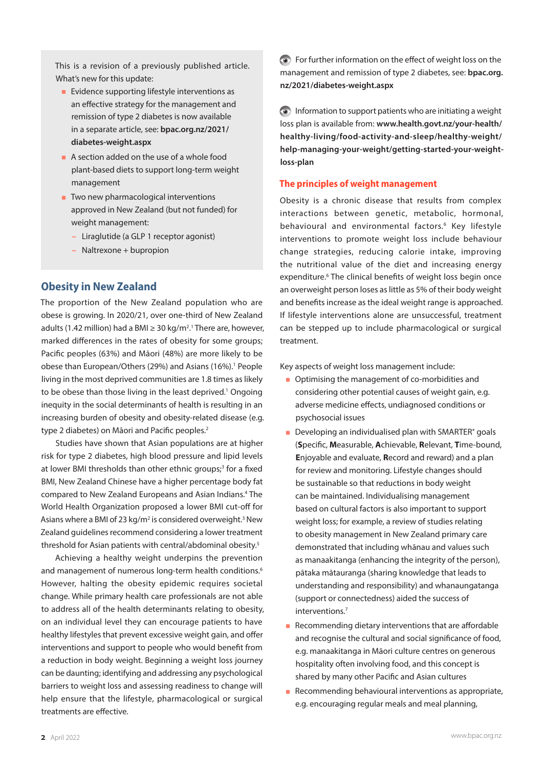This is a revision of a previously published article. What's new for this update:

- **Evidence supporting lifestyle interventions as** an effective strategy for the management and remission of type 2 diabetes is now available in a separate article, see: **[bpac.org.nz/2021/](https://bpac.org.nz/2021/diabetes-weight.aspx) [diabetes-weight.aspx](https://bpac.org.nz/2021/diabetes-weight.aspx)**
- A section added on the use of a whole food plant-based diets to support long-term weight management
- **Two new pharmacological interventions** approved in New Zealand (but not funded) for weight management:
	- Liraglutide (a GLP 1 receptor agonist)
	- Naltrexone + bupropion

# **Obesity in New Zealand**

The proportion of the New Zealand population who are obese is growing. In 2020/21, over one-third of New Zealand adults (1.42 million) had a BMI ≥ 30 kg/m<sup>2</sup>.<sup>1</sup> There are, however, marked differences in the rates of obesity for some groups; Pacific peoples (63%) and Māori (48%) are more likely to be obese than European/Others (29%) and Asians (16%).<sup>1</sup> People living in the most deprived communities are 1.8 times as likely to be obese than those living in the least deprived.<sup>1</sup> Ongoing inequity in the social determinants of health is resulting in an increasing burden of obesity and obesity-related disease (e.g. type 2 diabetes) on Māori and Pacific peoples.<sup>2</sup>

Studies have shown that Asian populations are at higher risk for type 2 diabetes, high blood pressure and lipid levels at lower BMI thresholds than other ethnic groups;<sup>3</sup> for a fixed BMI, New Zealand Chinese have a higher percentage body fat compared to New Zealand Europeans and Asian Indians.<sup>4</sup> The World Health Organization proposed a lower BMI cut-off for Asians where a BMI of 23 kg/m<sup>2</sup> is considered overweight.<sup>3</sup> New Zealand guidelines recommend considering a lower treatment threshold for Asian patients with central/abdominal obesity.5

Achieving a healthy weight underpins the prevention and management of numerous long-term health conditions.<sup>6</sup> However, halting the obesity epidemic requires societal change. While primary health care professionals are not able to address all of the health determinants relating to obesity, on an individual level they can encourage patients to have healthy lifestyles that prevent excessive weight gain, and offer interventions and support to people who would benefit from a reduction in body weight. Beginning a weight loss journey can be daunting; identifying and addressing any psychological barriers to weight loss and assessing readiness to change will help ensure that the lifestyle, pharmacological or surgical treatments are effective.

For further information on the effect of weight loss on the management and remission of type 2 diabetes, see: **[bpac.org.](https://bpac.org.nz/2021/diabetes-weight.aspx) [nz/2021/diabetes-weight.aspx](https://bpac.org.nz/2021/diabetes-weight.aspx)**

 $\odot$  Information to support patients who are initiating a weight loss plan is available from: **[www.health.govt.nz/your-health/](https://www.health.govt.nz/your-health/healthy-living/food-activity-and-sleep/healthy-weight/help-managing-your-weight/getting-started-your-weight-loss-plan) [healthy-living/food-activity-and-sleep/healthy-weight/](https://www.health.govt.nz/your-health/healthy-living/food-activity-and-sleep/healthy-weight/help-managing-your-weight/getting-started-your-weight-loss-plan) [help-managing-your-weight/getting-started-your-weight](https://www.health.govt.nz/your-health/healthy-living/food-activity-and-sleep/healthy-weight/help-managing-your-weight/getting-started-your-weight-loss-plan)[loss-plan](https://www.health.govt.nz/your-health/healthy-living/food-activity-and-sleep/healthy-weight/help-managing-your-weight/getting-started-your-weight-loss-plan)**

## **The principles of weight management**

Obesity is a chronic disease that results from complex interactions between genetic, metabolic, hormonal, behavioural and environmental factors.<sup>6</sup> Key lifestyle interventions to promote weight loss include behaviour change strategies, reducing calorie intake, improving the nutritional value of the diet and increasing energy expenditure.<sup>6</sup> The clinical benefits of weight loss begin once an overweight person loses as little as 5% of their body weight and benefits increase as the ideal weight range is approached. If lifestyle interventions alone are unsuccessful, treatment can be stepped up to include pharmacological or surgical treatment.

Key aspects of weight loss management include:

- **Optimising the management of co-morbidities and** considering other potential causes of weight gain, e.g. adverse medicine effects, undiagnosed conditions or psychosocial issues
- **Developing an individualised plan with SMARTER\* goals** (**S**pecific, **M**easurable, **A**chievable, **R**elevant, **T**ime-bound, **E**njoyable and evaluate, **R**ecord and reward) and a plan for review and monitoring. Lifestyle changes should be sustainable so that reductions in body weight can be maintained. Individualising management based on cultural factors is also important to support weight loss; for example, a review of studies relating to obesity management in New Zealand primary care demonstrated that including whānau and values such as manaakitanga (enhancing the integrity of the person), pātaka mātauranga (sharing knowledge that leads to understanding and responsibility) and whanaungatanga (support or connectedness) aided the success of interventions.7
- Recommending dietary interventions that are affordable and recognise the cultural and social significance of food, e.g. manaakitanga in Māori culture centres on generous hospitality often involving food, and this concept is shared by many other Pacific and Asian cultures
- Recommending behavioural interventions as appropriate, e.g. encouraging regular meals and meal planning,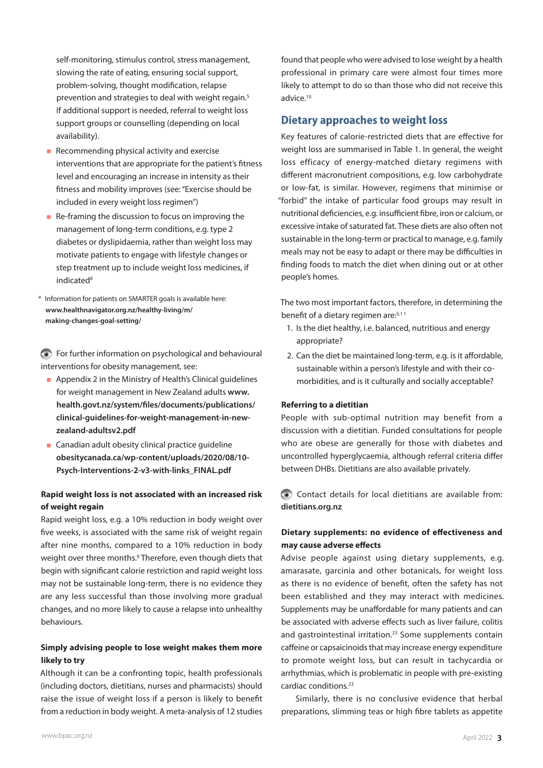self-monitoring, stimulus control, stress management, slowing the rate of eating, ensuring social support, problem-solving, thought modification, relapse prevention and strategies to deal with weight regain.5 If additional support is needed, referral to weight loss support groups or counselling (depending on local availability).

- Recommending physical activity and exercise interventions that are appropriate for the patient's fitness level and encouraging an increase in intensity as their fitness and mobility improves (see: "Exercise should be included in every weight loss regimen")
- Re-framing the discussion to focus on improving the management of long-term conditions, e.g. type 2 diabetes or dyslipidaemia, rather than weight loss may motivate patients to engage with lifestyle changes or step treatment up to include weight loss medicines, if indicated<sup>8</sup>
- \* Information for patients on SMARTER goals is available here: **[www.healthnavigator.org.nz/healthy-living/m/](https://www.healthnavigator.org.nz/healthy-living/m/making-changes-goal-setting/) [making-changes-goal-setting/](https://www.healthnavigator.org.nz/healthy-living/m/making-changes-goal-setting/)**

For further information on psychological and behavioural interventions for obesity management, see:

- **Appendix 2 in the Ministry of Health's Clinical quidelines** for weight management in New Zealand adults **[www.](https://www.health.govt.nz/system/files/documents/publications/clinical-guidelines-for-weight-management-in-new-zealand-adultsv2.pdf) [health.govt.nz/system/files/documents/publications/](https://www.health.govt.nz/system/files/documents/publications/clinical-guidelines-for-weight-management-in-new-zealand-adultsv2.pdf) [clinical-guidelines-for-weight-management-in-new](https://www.health.govt.nz/system/files/documents/publications/clinical-guidelines-for-weight-management-in-new-zealand-adultsv2.pdf)[zealand-adultsv2.pdf](https://www.health.govt.nz/system/files/documents/publications/clinical-guidelines-for-weight-management-in-new-zealand-adultsv2.pdf)**
- **Canadian adult obesity clinical practice quideline [obesitycanada.ca/wp-content/uploads/2020/08/10-](https://obesitycanada.ca/wp-content/uploads/2020/08/10-Psych-Interventions-2-v3-with-links_FINAL.pdf) [Psych-Interventions-2-v3-with-links\\_FINAL.pdf](https://obesitycanada.ca/wp-content/uploads/2020/08/10-Psych-Interventions-2-v3-with-links_FINAL.pdf)**

## **Rapid weight loss is not associated with an increased risk of weight regain**

Rapid weight loss, e.g. a 10% reduction in body weight over five weeks, is associated with the same risk of weight regain after nine months, compared to a 10% reduction in body weight over three months.<sup>9</sup> Therefore, even though diets that begin with significant calorie restriction and rapid weight loss may not be sustainable long-term, there is no evidence they are any less successful than those involving more gradual changes, and no more likely to cause a relapse into unhealthy behaviours.

## **Simply advising people to lose weight makes them more likely to try**

Although it can be a confronting topic, health professionals (including doctors, dietitians, nurses and pharmacists) should raise the issue of weight loss if a person is likely to benefit from a reduction in body weight. A meta-analysis of 12 studies

found that people who were advised to lose weight by a health professional in primary care were almost four times more likely to attempt to do so than those who did not receive this advice.10

## **Dietary approaches to weight loss**

Key features of calorie-restricted diets that are effective for weight loss are summarised in Table 1. In general, the weight loss efficacy of energy-matched dietary regimens with different macronutrient compositions, e.g. low carbohydrate or low-fat, is similar. However, regimens that minimise or "forbid" the intake of particular food groups may result in nutritional deficiencies, e.g. insufficient fibre, iron or calcium, or excessive intake of saturated fat. These diets are also often not sustainable in the long-term or practical to manage, e.g. family meals may not be easy to adapt or there may be difficulties in finding foods to match the diet when dining out or at other people's homes.

The two most important factors, therefore, in determining the benefit of a dietary regimen are:<sup>5,11</sup>

- 1. Is the diet healthy, i.e. balanced, nutritious and energy appropriate?
- 2. Can the diet be maintained long-term, e.g. is it affordable, sustainable within a person's lifestyle and with their comorbidities, and is it culturally and socially acceptable?

### **Referring to a dietitian**

People with sub-optimal nutrition may benefit from a discussion with a dietitian. Funded consultations for people who are obese are generally for those with diabetes and uncontrolled hyperglycaemia, although referral criteria differ between DHBs. Dietitians are also available privately.

Contact details for local dietitians are available from: **[dietitians.org.nz](https://dietitians.org.nz)**

## **Dietary supplements: no evidence of effectiveness and may cause adverse effects**

Advise people against using dietary supplements, e.g. amarasate, garcinia and other botanicals, for weight loss as there is no evidence of benefit, often the safety has not been established and they may interact with medicines. Supplements may be unaffordable for many patients and can be associated with adverse effects such as liver failure, colitis and gastrointestinal irritation.<sup>23</sup> Some supplements contain caffeine or capsaicinoids that may increase energy expenditure to promote weight loss, but can result in tachycardia or arrhythmias, which is problematic in people with pre-existing cardiac conditions.23

Similarly, there is no conclusive evidence that herbal preparations, slimming teas or high fibre tablets as appetite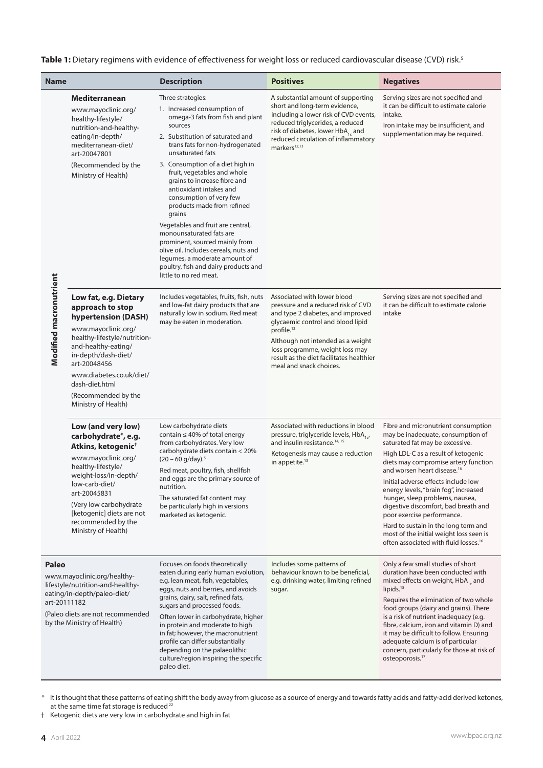## Table 1: Dietary regimens with evidence of effectiveness for weight loss or reduced cardiovascular disease (CVD) risk.<sup>5</sup>

| <b>Name</b>                                                                                                                                                                               |                                                                                                                                                                                                                                                                                         | <b>Description</b>                                                                                                                                                                                                                                                                                                                                                                                                                                                 | <b>Positives</b>                                                                                                                                                                                                                                                                                            | <b>Negatives</b>                                                                                                                                                                                                                                                                                                                                                                                                                                                                                                                                                       |
|-------------------------------------------------------------------------------------------------------------------------------------------------------------------------------------------|-----------------------------------------------------------------------------------------------------------------------------------------------------------------------------------------------------------------------------------------------------------------------------------------|--------------------------------------------------------------------------------------------------------------------------------------------------------------------------------------------------------------------------------------------------------------------------------------------------------------------------------------------------------------------------------------------------------------------------------------------------------------------|-------------------------------------------------------------------------------------------------------------------------------------------------------------------------------------------------------------------------------------------------------------------------------------------------------------|------------------------------------------------------------------------------------------------------------------------------------------------------------------------------------------------------------------------------------------------------------------------------------------------------------------------------------------------------------------------------------------------------------------------------------------------------------------------------------------------------------------------------------------------------------------------|
| Modified macronutrient                                                                                                                                                                    | Mediterranean<br>www.mayoclinic.org/<br>healthy-lifestyle/<br>nutrition-and-healthy-<br>eating/in-depth/<br>mediterranean-diet/<br>art-20047801                                                                                                                                         | Three strategies:<br>1. Increased consumption of<br>omega-3 fats from fish and plant<br>sources<br>2. Substitution of saturated and<br>trans fats for non-hydrogenated<br>unsaturated fats                                                                                                                                                                                                                                                                         | A substantial amount of supporting<br>short and long-term evidence,<br>including a lower risk of CVD events,<br>reduced triglycerides, a reduced<br>risk of diabetes, lower HbA <sub>1c</sub> and<br>reduced circulation of inflammatory<br>markers <sup>12,13</sup>                                        | Serving sizes are not specified and<br>it can be difficult to estimate calorie<br>intake.<br>Iron intake may be insufficient, and<br>supplementation may be required.                                                                                                                                                                                                                                                                                                                                                                                                  |
|                                                                                                                                                                                           | (Recommended by the<br>Ministry of Health)                                                                                                                                                                                                                                              | 3. Consumption of a diet high in<br>fruit, vegetables and whole<br>grains to increase fibre and<br>antioxidant intakes and<br>consumption of very few<br>products made from refined<br>grains<br>Vegetables and fruit are central,<br>monounsaturated fats are<br>prominent, sourced mainly from<br>olive oil. Includes cereals, nuts and<br>legumes, a moderate amount of<br>poultry, fish and dairy products and<br>little to no red meat.                       |                                                                                                                                                                                                                                                                                                             |                                                                                                                                                                                                                                                                                                                                                                                                                                                                                                                                                                        |
|                                                                                                                                                                                           | Low fat, e.g. Dietary<br>approach to stop<br>hypertension (DASH)<br>www.mayoclinic.org/<br>healthy-lifestyle/nutrition-<br>and-healthy-eating/<br>in-depth/dash-diet/<br>art-20048456<br>www.diabetes.co.uk/diet/<br>dash-diet.html<br>(Recommended by the<br>Ministry of Health)       | Includes vegetables, fruits, fish, nuts<br>and low-fat dairy products that are<br>naturally low in sodium. Red meat<br>may be eaten in moderation.                                                                                                                                                                                                                                                                                                                 | Associated with lower blood<br>pressure and a reduced risk of CVD<br>and type 2 diabetes, and improved<br>glycaemic control and blood lipid<br>profile. $12$<br>Although not intended as a weight<br>loss programme, weight loss may<br>result as the diet facilitates healthier<br>meal and snack choices. | Serving sizes are not specified and<br>it can be difficult to estimate calorie<br>intake                                                                                                                                                                                                                                                                                                                                                                                                                                                                               |
|                                                                                                                                                                                           | Low (and very low)<br>carbohydrate*, e.g.<br>Atkins, ketogenic <sup>+</sup><br>www.mayoclinic.org/<br>healthy-lifestyle/<br>weight-loss/in-depth/<br>low-carb-diet/<br>art-20045831<br>(Very low carbohydrate<br>[ketogenic] diets are not<br>recommended by the<br>Ministry of Health) | Low carbohydrate diets<br>contain $\leq 40\%$ of total energy<br>from carbohydrates. Very low<br>carbohydrate diets contain < 20%<br>$(20 - 60)$ g/day). <sup>5</sup><br>Red meat, poultry, fish, shellfish<br>and eggs are the primary source of<br>nutrition.<br>The saturated fat content may<br>be particularly high in versions<br>marketed as ketogenic.                                                                                                     | Associated with reductions in blood<br>pressure, triglyceride levels, HbA <sub>1-1</sub><br>and insulin resistance. <sup>14, 15</sup><br>Ketogenesis may cause a reduction<br>in appetite. $13$                                                                                                             | Fibre and micronutrient consumption<br>may be inadequate, consumption of<br>saturated fat may be excessive.<br>High LDL-C as a result of ketogenic<br>diets may compromise artery function<br>and worsen heart disease. <sup>16</sup><br>Initial adverse effects include low<br>energy levels, "brain fog", increased<br>hunger, sleep problems, nausea,<br>digestive discomfort, bad breath and<br>poor exercise performance.<br>Hard to sustain in the long term and<br>most of the initial weight loss seen is<br>often associated with fluid losses. <sup>16</sup> |
| Paleo<br>www.mayoclinic.org/healthy-<br>lifestyle/nutrition-and-healthy-<br>eating/in-depth/paleo-diet/<br>art-20111182<br>(Paleo diets are not recommended<br>by the Ministry of Health) |                                                                                                                                                                                                                                                                                         | Focuses on foods theoretically<br>eaten during early human evolution,<br>e.g. lean meat, fish, vegetables,<br>eggs, nuts and berries, and avoids<br>grains, dairy, salt, refined fats,<br>sugars and processed foods.<br>Often lower in carbohydrate, higher<br>in protein and moderate to high<br>in fat; however, the macronutrient<br>profile can differ substantially<br>depending on the palaeolithic<br>culture/region inspiring the specific<br>paleo diet. | Includes some patterns of<br>behaviour known to be beneficial,<br>e.g. drinking water, limiting refined<br>sugar.                                                                                                                                                                                           | Only a few small studies of short<br>duration have been conducted with<br>mixed effects on weight, HbA <sub>1c</sub> and<br>lipids. <sup>15</sup><br>Requires the elimination of two whole<br>food groups (dairy and grains). There<br>is a risk of nutrient inadequacy (e.g.<br>fibre, calcium, iron and vitamin D) and<br>it may be difficult to follow. Ensuring<br>adequate calcium is of particular<br>concern, particularly for those at risk of<br>osteoporosis. <sup>17</sup>                                                                                  |

\* It is thought that these patterns of eating shift the body away from glucose as a source of energy and towards fatty acids and fatty-acid derived ketones, at the same time fat storage is reduced<sup>22</sup>

† Ketogenic diets are very low in carbohydrate and high in fat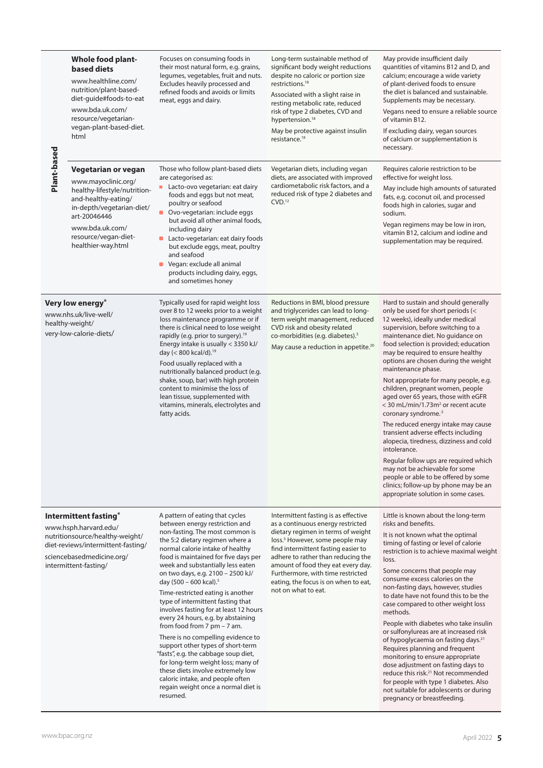| Plant-based                                                                                                                                                                   | <b>Whole food plant-</b><br>based diets<br>www.healthline.com/<br>nutrition/plant-based-<br>diet-quide#foods-to-eat<br>www.bda.uk.com/<br>resource/vegetarian-<br>vegan-plant-based-diet.<br>html               | Focuses on consuming foods in<br>their most natural form, e.g. grains,<br>legumes, vegetables, fruit and nuts.<br>Excludes heavily processed and<br>refined foods and avoids or limits<br>meat, eggs and dairy.                                                                                                                                                                                                                                                                                                                                                                                                                                                                                                                                                                                                                      | Long-term sustainable method of<br>significant body weight reductions<br>despite no caloric or portion size<br>restrictions. <sup>18</sup><br>Associated with a slight raise in<br>resting metabolic rate, reduced<br>risk of type 2 diabetes, CVD and<br>hypertension. <sup>18</sup><br>May be protective against insulin<br>resistance. <sup>18</sup>                               | May provide insufficient daily<br>quantities of vitamins B12 and D, and<br>calcium; encourage a wide variety<br>of plant-derived foods to ensure<br>the diet is balanced and sustainable.<br>Supplements may be necessary.<br>Vegans need to ensure a reliable source<br>of vitamin B12.<br>If excluding dairy, vegan sources<br>of calcium or supplementation is<br>necessary.                                                                                                                                                                                                                                                                                                                                                                                                                                                                                                            |
|-------------------------------------------------------------------------------------------------------------------------------------------------------------------------------|-----------------------------------------------------------------------------------------------------------------------------------------------------------------------------------------------------------------|--------------------------------------------------------------------------------------------------------------------------------------------------------------------------------------------------------------------------------------------------------------------------------------------------------------------------------------------------------------------------------------------------------------------------------------------------------------------------------------------------------------------------------------------------------------------------------------------------------------------------------------------------------------------------------------------------------------------------------------------------------------------------------------------------------------------------------------|---------------------------------------------------------------------------------------------------------------------------------------------------------------------------------------------------------------------------------------------------------------------------------------------------------------------------------------------------------------------------------------|--------------------------------------------------------------------------------------------------------------------------------------------------------------------------------------------------------------------------------------------------------------------------------------------------------------------------------------------------------------------------------------------------------------------------------------------------------------------------------------------------------------------------------------------------------------------------------------------------------------------------------------------------------------------------------------------------------------------------------------------------------------------------------------------------------------------------------------------------------------------------------------------|
|                                                                                                                                                                               | Vegetarian or vegan<br>www.mayoclinic.org/<br>healthy-lifestyle/nutrition-<br>and-healthy-eating/<br>in-depth/vegetarian-diet/<br>art-20046446<br>www.bda.uk.com/<br>resource/vegan-diet-<br>healthier-way.html | Those who follow plant-based diets<br>are categorised as:<br>Lacto-ovo vegetarian: eat dairy<br>foods and eggs but not meat,<br>poultry or seafood<br>$\blacksquare$<br>Ovo-vegetarian: include eggs<br>but avoid all other animal foods,<br>including dairy<br>Lacto-vegetarian: eat dairy foods<br>but exclude eggs, meat, poultry<br>and seafood<br>Vegan: exclude all animal<br>$\blacksquare$<br>products including dairy, eggs,<br>and sometimes honey                                                                                                                                                                                                                                                                                                                                                                         | Vegetarian diets, including vegan<br>diets, are associated with improved<br>cardiometabolic risk factors, and a<br>reduced risk of type 2 diabetes and<br>CVD <sup>12</sup>                                                                                                                                                                                                           | Requires calorie restriction to be<br>effective for weight loss.<br>May include high amounts of saturated<br>fats, e.g. coconut oil, and processed<br>foods high in calories, sugar and<br>sodium.<br>Vegan regimens may be low in iron,<br>vitamin B12, calcium and iodine and<br>supplementation may be required.                                                                                                                                                                                                                                                                                                                                                                                                                                                                                                                                                                        |
| Very low energy*<br>www.nhs.uk/live-well/<br>healthy-weight/<br>very-low-calorie-diets/                                                                                       |                                                                                                                                                                                                                 | Typically used for rapid weight loss<br>over 8 to 12 weeks prior to a weight<br>loss maintenance programme or if<br>there is clinical need to lose weight<br>rapidly (e.g. prior to surgery). <sup>19</sup><br>Energy intake is usually < 3350 kJ/<br>day (< 800 kcal/d). <sup>19</sup><br>Food usually replaced with a<br>nutritionally balanced product (e.g.<br>shake, soup, bar) with high protein<br>content to minimise the loss of<br>lean tissue, supplemented with<br>vitamins, minerals, electrolytes and<br>fatty acids.                                                                                                                                                                                                                                                                                                  | Reductions in BMI, blood pressure<br>and triglycerides can lead to long-<br>term weight management, reduced<br>CVD risk and obesity related<br>co-morbidities (e.g. diabetes). <sup>5</sup><br>May cause a reduction in appetite. <sup>20</sup>                                                                                                                                       | Hard to sustain and should generally<br>only be used for short periods (<<br>12 weeks), ideally under medical<br>supervision, before switching to a<br>maintenance diet. No guidance on<br>food selection is provided; education<br>may be required to ensure healthy<br>options are chosen during the weight<br>maintenance phase.<br>Not appropriate for many people, e.g.<br>children, pregnant women, people<br>aged over 65 years, those with eGFR<br>$<$ 30 mL/min/1.73m <sup>2</sup> or recent acute<br>coronary syndrome. <sup>5</sup><br>The reduced energy intake may cause<br>transient adverse effects including<br>alopecia, tiredness, dizziness and cold<br>intolerance.<br>Regular follow ups are required which<br>may not be achievable for some<br>people or able to be offered by some<br>clinics; follow-up by phone may be an<br>appropriate solution in some cases. |
| Intermittent fasting*<br>www.hsph.harvard.edu/<br>nutritionsource/healthy-weight/<br>diet-reviews/intermittent-fasting/<br>sciencebasedmedicine.org/<br>intermittent-fasting/ |                                                                                                                                                                                                                 | A pattern of eating that cycles<br>between energy restriction and<br>non-fasting. The most common is<br>the 5:2 dietary regimen where a<br>normal calorie intake of healthy<br>food is maintained for five days per<br>week and substantially less eaten<br>on two days, e.g. 2100 - 2500 kJ/<br>day (500 - 600 kcal). <sup>5</sup><br>Time-restricted eating is another<br>type of intermittent fasting that<br>involves fasting for at least 12 hours<br>every 24 hours, e.g. by abstaining<br>from food from $7 \text{ pm} - 7 \text{ am}$ .<br>There is no compelling evidence to<br>support other types of short-term<br>"fasts", e.g. the cabbage soup diet,<br>for long-term weight loss; many of<br>these diets involve extremely low<br>caloric intake, and people often<br>regain weight once a normal diet is<br>resumed. | Intermittent fasting is as effective<br>as a continuous energy restricted<br>dietary regimen in terms of weight<br>loss. <sup>5</sup> However, some people may<br>find intermittent fasting easier to<br>adhere to rather than reducing the<br>amount of food they eat every day.<br>Furthermore, with time restricted<br>eating, the focus is on when to eat,<br>not on what to eat. | Little is known about the long-term<br>risks and benefits.<br>It is not known what the optimal<br>timing of fasting or level of calorie<br>restriction is to achieve maximal weight<br>loss.<br>Some concerns that people may<br>consume excess calories on the<br>non-fasting days, however, studies<br>to date have not found this to be the<br>case compared to other weight loss<br>methods.<br>People with diabetes who take insulin<br>or sulfonylureas are at increased risk<br>of hypoglycaemia on fasting days. <sup>21</sup><br>Requires planning and frequent<br>monitoring to ensure appropriate<br>dose adjustment on fasting days to<br>reduce this risk. <sup>21</sup> Not recommended<br>for people with type 1 diabetes. Also<br>not suitable for adolescents or during<br>pregnancy or breastfeeding.                                                                    |

L,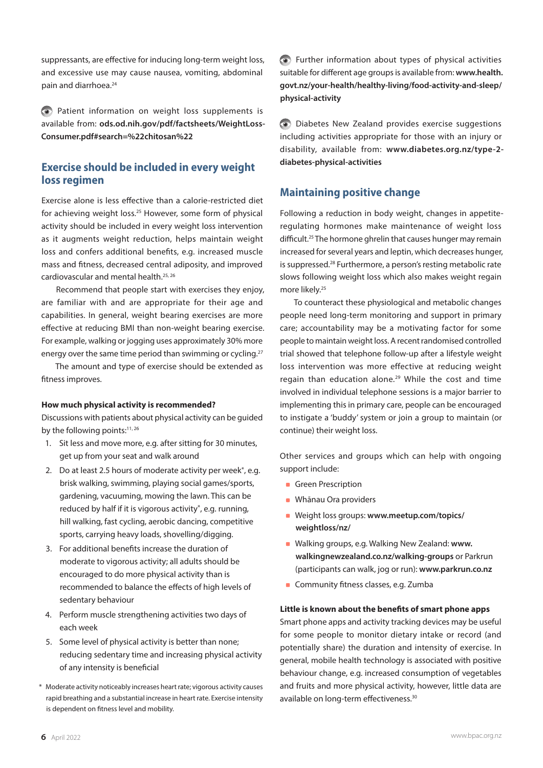suppressants, are effective for inducing long-term weight loss, and excessive use may cause nausea, vomiting, abdominal pain and diarrhoea.<sup>24</sup>

Patient information on weight loss supplements is available from: **[ods.od.nih.gov/pdf/factsheets/WeightLoss-](https://ods.od.nih.gov/pdf/factsheets/WeightLoss-Consumer.pdf#search=%22chitosan%22)[Consumer.pdf#search=%22chitosan%22](https://ods.od.nih.gov/pdf/factsheets/WeightLoss-Consumer.pdf#search=%22chitosan%22)**

# **Exercise should be included in every weight loss regimen**

Exercise alone is less effective than a calorie-restricted diet for achieving weight loss.25 However, some form of physical activity should be included in every weight loss intervention as it augments weight reduction, helps maintain weight loss and confers additional benefits, e.g. increased muscle mass and fitness, decreased central adiposity, and improved cardiovascular and mental health.25, 26

Recommend that people start with exercises they enjoy, are familiar with and are appropriate for their age and capabilities. In general, weight bearing exercises are more effective at reducing BMI than non-weight bearing exercise. For example, walking or jogging uses approximately 30% more energy over the same time period than swimming or cycling.<sup>27</sup>

The amount and type of exercise should be extended as fitness improves.

#### **How much physical activity is recommended?**

Discussions with patients about physical activity can be guided by the following points:<sup>11, 26</sup>

- 1. Sit less and move more, e.g. after sitting for 30 minutes, get up from your seat and walk around
- 2. Do at least 2.5 hours of moderate activity per week\*, e.g. brisk walking, swimming, playing social games/sports, gardening, vacuuming, mowing the lawn. This can be reduced by half if it is vigorous activity\*, e.g. running, hill walking, fast cycling, aerobic dancing, competitive sports, carrying heavy loads, shovelling/digging.
- 3. For additional benefits increase the duration of moderate to vigorous activity; all adults should be encouraged to do more physical activity than is recommended to balance the effects of high levels of sedentary behaviour
- 4. Perform muscle strengthening activities two days of each week
- 5. Some level of physical activity is better than none; reducing sedentary time and increasing physical activity of any intensity is beneficial
- \* Moderate activity noticeably increases heart rate; vigorous activity causes rapid breathing and a substantial increase in heart rate. Exercise intensity is dependent on fitness level and mobility.

Further information about types of physical activities suitable for different age groups is available from: **[www.health.](http://www.health.govt.nz/your-health/healthy-living/food-activity-and-sleep/physical-activity) [govt.nz/your-health/healthy-living/food-activity-and-sleep/](http://www.health.govt.nz/your-health/healthy-living/food-activity-and-sleep/physical-activity) [physical-activity](http://www.health.govt.nz/your-health/healthy-living/food-activity-and-sleep/physical-activity)**

Diabetes New Zealand provides exercise suggestions including activities appropriate for those with an injury or disability, available from: **[www.diabetes.org.nz/type-2](http://www.diabetes.org.nz/type-2-diabetes-physical-activities) [diabetes-physical-activities](http://www.diabetes.org.nz/type-2-diabetes-physical-activities)**

## **Maintaining positive change**

Following a reduction in body weight, changes in appetiteregulating hormones make maintenance of weight loss difficult.25 The hormone ghrelin that causes hunger may remain increased for several years and leptin, which decreases hunger, is suppressed.28 Furthermore, a person's resting metabolic rate slows following weight loss which also makes weight regain more likely.<sup>25</sup>

To counteract these physiological and metabolic changes people need long-term monitoring and support in primary care; accountability may be a motivating factor for some people to maintain weight loss. A recent randomised controlled trial showed that telephone follow-up after a lifestyle weight loss intervention was more effective at reducing weight regain than education alone.<sup>29</sup> While the cost and time involved in individual telephone sessions is a major barrier to implementing this in primary care, people can be encouraged to instigate a 'buddy' system or join a group to maintain (or continue) their weight loss.

Other services and groups which can help with ongoing support include:

- Green Prescription
- **Whānau Ora providers**
- Weight loss groups: **[www.meetup.com/topics/](http://www.meetup.com/topics/weightloss/nz/) [weightloss/nz/](http://www.meetup.com/topics/weightloss/nz/)**
- Walking groups, e.g. Walking New Zealand: **[www.](http://www.walkingnewzealand.co.nz/walking-groups) [walkingnewzealand.co.nz/walking-groups](http://www.walkingnewzealand.co.nz/walking-groups)** or Parkrun (participants can walk, jog or run): **[www.parkrun.co.nz](http://www.parkrun.co.nz)**
- Community fitness classes, e.g. Zumba

#### **Little is known about the benefits of smart phone apps**

Smart phone apps and activity tracking devices may be useful for some people to monitor dietary intake or record (and potentially share) the duration and intensity of exercise. In general, mobile health technology is associated with positive behaviour change, e.g. increased consumption of vegetables and fruits and more physical activity, however, little data are available on long-term effectiveness.<sup>30</sup>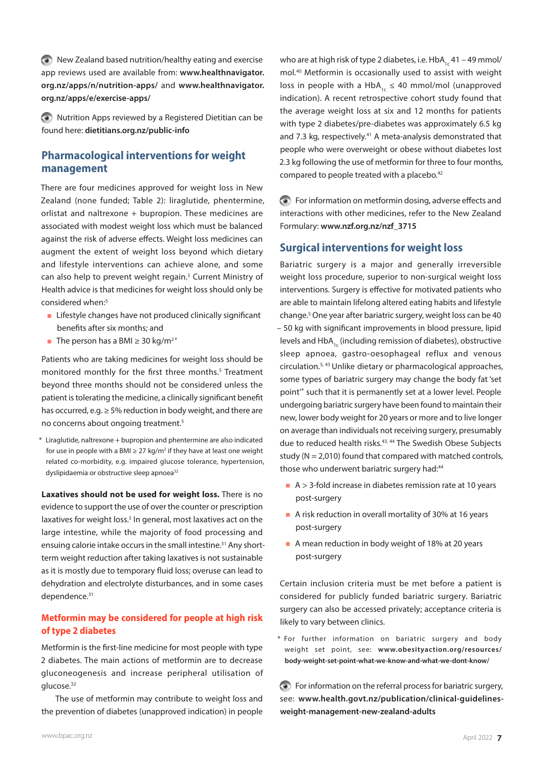New Zealand based nutrition/healthy eating and exercise app reviews used are available from: **[www.healthnavigator.](https://www.healthnavigator.org.nz/apps/n/nutrition-apps/) [org.nz/apps/n/nutrition-apps/](https://www.healthnavigator.org.nz/apps/n/nutrition-apps/)** and **[www.healthnavigator.](https://www.healthnavigator.org.nz/apps/e/exercise-apps/) [org.nz/apps/e/exercise-apps/](https://www.healthnavigator.org.nz/apps/e/exercise-apps/)**

Nutrition Apps reviewed by a Registered Dietitian can be found here: **[dietitians.org.nz/public-info](https://dietitians.org.nz/public-info)**

# **Pharmacological interventions for weight management**

There are four medicines approved for weight loss in New Zealand (none funded; Table 2): liraglutide, phentermine, orlistat and naltrexone + bupropion. These medicines are associated with modest weight loss which must be balanced against the risk of adverse effects. Weight loss medicines can augment the extent of weight loss beyond which dietary and lifestyle interventions can achieve alone, and some can also help to prevent weight regain.<sup>5</sup> Current Ministry of Health advice is that medicines for weight loss should only be considered when:<sup>5</sup>

- **EXTENUARY Lifestyle changes have not produced clinically significant** benefits after six months; and
- The person has a BMI  $\geq$  30 kg/m<sup>2\*</sup>

Patients who are taking medicines for weight loss should be monitored monthly for the first three months.<sup>5</sup> Treatment beyond three months should not be considered unless the patient is tolerating the medicine, a clinically significant benefit has occurred, e.g. ≥ 5% reduction in body weight, and there are no concerns about ongoing treatment.<sup>5</sup>

\* Liraglutide, naltrexone + bupropion and phentermine are also indicated for use in people with a BMI  $\geq 27$  kg/m<sup>2</sup> if they have at least one weight related co-morbidity, e.g. impaired glucose tolerance, hypertension, dyslipidaemia or obstructive sleep apnoea<sup>32</sup>

**Laxatives should not be used for weight loss.** There is no evidence to support the use of over the counter or prescription laxatives for weight loss.<sup>5</sup> In general, most laxatives act on the large intestine, while the majority of food processing and ensuing calorie intake occurs in the small intestine.<sup>31</sup> Any shortterm weight reduction after taking laxatives is not sustainable as it is mostly due to temporary fluid loss; overuse can lead to dehydration and electrolyte disturbances, and in some cases dependence.<sup>31</sup>

## **Metformin may be considered for people at high risk of type 2 diabetes**

Metformin is the first-line medicine for most people with type 2 diabetes. The main actions of metformin are to decrease gluconeogenesis and increase peripheral utilisation of glucose.<sup>32</sup>

The use of metformin may contribute to weight loss and the prevention of diabetes (unapproved indication) in people

who are at high risk of type 2 diabetes, i.e.  $HbA_{1c}$  41 – 49 mmol/ mol.40 Metformin is occasionally used to assist with weight loss in people with a HbA<sub>1c</sub>  $\leq$  40 mmol/mol (unapproved indication). A recent retrospective cohort study found that the average weight loss at six and 12 months for patients with type 2 diabetes/pre-diabetes was approximately 6.5 kg and 7.3 kg, respectively.<sup>41</sup> A meta-analysis demonstrated that people who were overweight or obese without diabetes lost 2.3 kg following the use of metformin for three to four months, compared to people treated with a placebo.<sup>42</sup>

For information on metformin dosing, adverse effects and interactions with other medicines, refer to the New Zealand Formulary: **[www.nzf.org.nz/nzf\\_3715](https://www.nzf.org.nz/nzf_3715)**

# **Surgical interventions for weight loss**

Bariatric surgery is a major and generally irreversible weight loss procedure, superior to non-surgical weight loss interventions. Surgery is effective for motivated patients who are able to maintain lifelong altered eating habits and lifestyle change.5 One year after bariatric surgery, weight loss can be 40 – 50 kg with significant improvements in blood pressure, lipid levels and  $HbA_{1c}$  (including remission of diabetes), obstructive sleep apnoea, gastro-oesophageal reflux and venous circulation.5, 43 Unlike dietary or pharmacological approaches, some types of bariatric surgery may change the body fat 'set point'\* such that it is permanently set at a lower level. People undergoing bariatric surgery have been found to maintain their new, lower body weight for 20 years or more and to live longer on average than individuals not receiving surgery, presumably due to reduced health risks.<sup>43, 44</sup> The Swedish Obese Subjects study ( $N = 2,010$ ) found that compared with matched controls, those who underwent bariatric surgery had:<sup>44</sup>

- $\blacktriangleright$  A > 3-fold increase in diabetes remission rate at 10 years post-surgery
- A risk reduction in overall mortality of 30% at 16 years post-surgery
- A mean reduction in body weight of 18% at 20 years post-surgery

Certain inclusion criteria must be met before a patient is considered for publicly funded bariatric surgery. Bariatric surgery can also be accessed privately; acceptance criteria is likely to vary between clinics.

\* For further information on bariatric surgery and body weight set point, see: **[www.obesityaction.org/resources/](http://www.obesityaction.org/resources/body-weight-set-point-what-we-know-and-what-we-dont-know/) [body-weight-set-point-what-we-know-and-what-we-dont-know/](http://www.obesityaction.org/resources/body-weight-set-point-what-we-know-and-what-we-dont-know/)**

For information on the referral process for bariatric surgery, see: **[www.health.govt.nz/publication/clinical-guidelines](https://www.health.govt.nz/publication/clinical-guidelines-weight-management-new-zealand-adults)[weight-management-new-zealand-adults](https://www.health.govt.nz/publication/clinical-guidelines-weight-management-new-zealand-adults)**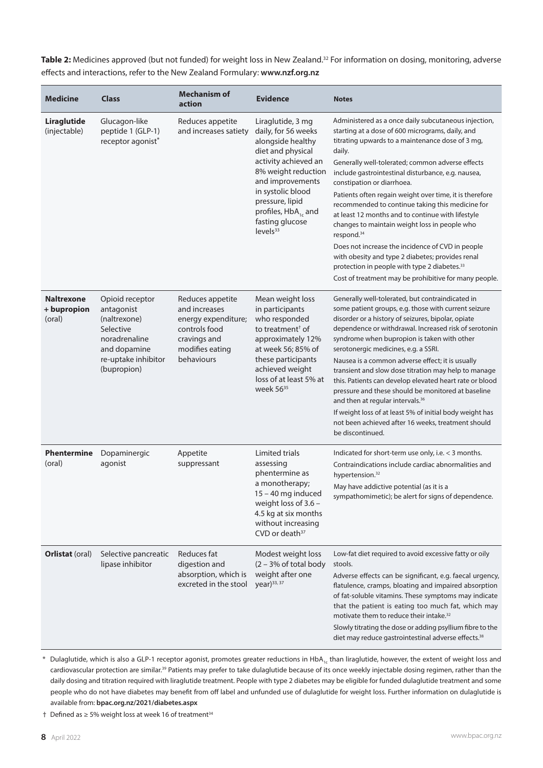Table 2: Medicines approved (but not funded) for weight loss in New Zealand.<sup>32</sup> For information on dosing, monitoring, adverse effects and interactions, refer to the New Zealand Formulary: **[www.nzf.org.nz](https://www.nzf.org.nz/nzf_1)**

| <b>Medicine</b>                            | <b>Class</b>                                                                                                                      | <b>Mechanism of</b><br>action                                                                                              | <b>Evidence</b>                                                                                                                                                                                                                                                      | <b>Notes</b>                                                                                                                                                                                                                                                                                                                                                                                                                                                                                                                                                                                                                                                                                                                                                                               |
|--------------------------------------------|-----------------------------------------------------------------------------------------------------------------------------------|----------------------------------------------------------------------------------------------------------------------------|----------------------------------------------------------------------------------------------------------------------------------------------------------------------------------------------------------------------------------------------------------------------|--------------------------------------------------------------------------------------------------------------------------------------------------------------------------------------------------------------------------------------------------------------------------------------------------------------------------------------------------------------------------------------------------------------------------------------------------------------------------------------------------------------------------------------------------------------------------------------------------------------------------------------------------------------------------------------------------------------------------------------------------------------------------------------------|
| Liraglutide<br>(injectable)                | Glucagon-like<br>peptide 1 (GLP-1)<br>receptor agonist*                                                                           | Reduces appetite<br>and increases satiety                                                                                  | Liraglutide, 3 mg<br>daily, for 56 weeks<br>alongside healthy<br>diet and physical<br>activity achieved an<br>8% weight reduction<br>and improvements<br>in systolic blood<br>pressure, lipid<br>profiles, $HbA_{1c}$ and<br>fasting glucose<br>levels <sup>33</sup> | Administered as a once daily subcutaneous injection,<br>starting at a dose of 600 micrograms, daily, and<br>titrating upwards to a maintenance dose of 3 mg,<br>daily.<br>Generally well-tolerated; common adverse effects<br>include gastrointestinal disturbance, e.g. nausea,<br>constipation or diarrhoea.<br>Patients often regain weight over time, it is therefore<br>recommended to continue taking this medicine for<br>at least 12 months and to continue with lifestyle<br>changes to maintain weight loss in people who<br>respond. <sup>34</sup><br>Does not increase the incidence of CVD in people<br>with obesity and type 2 diabetes; provides renal<br>protection in people with type 2 diabetes. <sup>33</sup><br>Cost of treatment may be prohibitive for many people. |
| <b>Naltrexone</b><br>+ bupropion<br>(oral) | Opioid receptor<br>antagonist<br>(naltrexone)<br>Selective<br>noradrenaline<br>and dopamine<br>re-uptake inhibitor<br>(bupropion) | Reduces appetite<br>and increases<br>energy expenditure;<br>controls food<br>cravings and<br>modifies eating<br>behaviours | Mean weight loss<br>in participants<br>who responded<br>to treatment <sup>+</sup> of<br>approximately 12%<br>at week 56; 85% of<br>these participants<br>achieved weight<br>loss of at least 5% at<br>week 56 <sup>35</sup>                                          | Generally well-tolerated, but contraindicated in<br>some patient groups, e.g. those with current seizure<br>disorder or a history of seizures, bipolar, opiate<br>dependence or withdrawal. Increased risk of serotonin<br>syndrome when bupropion is taken with other<br>serotonergic medicines, e.g. a SSRI.<br>Nausea is a common adverse effect; it is usually<br>transient and slow dose titration may help to manage<br>this. Patients can develop elevated heart rate or blood<br>pressure and these should be monitored at baseline<br>and then at regular intervals. <sup>36</sup><br>If weight loss of at least 5% of initial body weight has<br>not been achieved after 16 weeks, treatment should<br>be discontinued.                                                          |
| <b>Phentermine</b><br>(oral)               | Dopaminergic<br>agonist                                                                                                           | Appetite<br>suppressant                                                                                                    | Limited trials<br>assessing<br>phentermine as<br>a monotherapy;<br>15 - 40 mg induced<br>weight loss of 3.6 -<br>4.5 kg at six months<br>without increasing<br>CVD or death <sup>37</sup>                                                                            | Indicated for short-term use only, i.e. < 3 months.<br>Contraindications include cardiac abnormalities and<br>hypertension. <sup>32</sup><br>May have addictive potential (as it is a<br>sympathomimetic); be alert for signs of dependence.                                                                                                                                                                                                                                                                                                                                                                                                                                                                                                                                               |
| <b>Orlistat (oral)</b>                     | Selective pancreatic<br>lipase inhibitor                                                                                          | Reduces fat<br>digestion and<br>absorption, which is<br>excreted in the stool                                              | Modest weight loss<br>$(2 - 3\% \text{ of total body})$<br>weight after one<br>year) <sup>33, 37</sup>                                                                                                                                                               | Low-fat diet required to avoid excessive fatty or oily<br>stools.<br>Adverse effects can be significant, e.g. faecal urgency,<br>flatulence, cramps, bloating and impaired absorption<br>of fat-soluble vitamins. These symptoms may indicate<br>that the patient is eating too much fat, which may<br>motivate them to reduce their intake. <sup>32</sup><br>Slowly titrating the dose or adding psyllium fibre to the<br>diet may reduce gastrointestinal adverse effects. <sup>38</sup>                                                                                                                                                                                                                                                                                                 |

\* Dulaglutide, which is also a GLP-1 receptor agonist, promotes greater reductions in HbA<sub>1c</sub> than liraglutide, however, the extent of weight loss and cardiovascular protection are similar.<sup>39</sup> Patients may prefer to take dulaglutide because of its once weekly injectable dosing regimen, rather than the daily dosing and titration required with liraglutide treatment. People with type 2 diabetes may be eligible for funded dulaglutide treatment and some people who do not have diabetes may benefit from off label and unfunded use of dulaglutide for weight loss. Further information on dulaglutide is available from: **[bpac.org.nz/2021/diabetes.aspx](https://bpac.org.nz/2021/diabetes.aspx)**

† Defined as ≥ 5% weight loss at week 16 of treatment34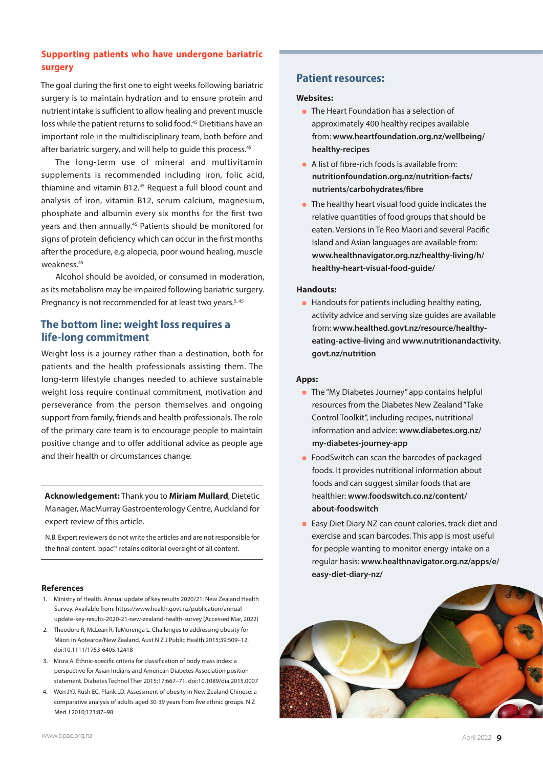# **Supporting patients who have undergone bariatric surgery**

The goal during the first one to eight weeks following bariatric surgery is to maintain hydration and to ensure protein and nutrient intake is sufficient to allow healing and prevent muscle loss while the patient returns to solid food.<sup>45</sup> Dietitians have an important role in the multidisciplinary team, both before and after bariatric surgery, and will help to quide this process.<sup>45</sup>

The long-term use of mineral and multivitamin supplements is recommended including iron, folic acid, thiamine and vitamin B12.45 Request a full blood count and analysis of iron, vitamin B12, serum calcium, magnesium, phosphate and albumin every six months for the first two years and then annually.<sup>45</sup> Patients should be monitored for signs of protein deficiency which can occur in the first months after the procedure, e.g alopecia, poor wound healing, muscle weakness.45

Alcohol should be avoided, or consumed in moderation, as its metabolism may be impaired following bariatric surgery. Pregnancy is not recommended for at least two years.<sup>5, 45</sup>

# **The bottom line: weight loss requires a life-long commitment**

Weight loss is a journey rather than a destination, both for patients and the health professionals assisting them. The long-term lifestyle changes needed to achieve sustainable weight loss require continual commitment, motivation and perseverance from the person themselves and ongoing support from family, friends and health professionals. The role of the primary care team is to encourage people to maintain positive change and to offer additional advice as people age and their health or circumstances change.

**Acknowledgement:** Thank you to **Miriam Mullard**, Dietetic Manager, MacMurray Gastroenterology Centre, Auckland for expert review of this article.

N.B. Expert reviewers do not write the articles and are not responsible for the final content. bpac<sup>nz</sup> retains editorial oversight of all content.

#### **References**

- 1. Ministry of Health. Annual update of key results 2020/21: New Zealand Health Survey. Available from: [https://www.health.govt.nz/publication/annual](https://www.health.govt.nz/publication/annual-update-key-results-2020-21-new-zealand-health-survey)[update-key-results-2020-21-new-zealand-health-survey](https://www.health.govt.nz/publication/annual-update-key-results-2020-21-new-zealand-health-survey) (Accessed Mar, 2022)
- 2. Theodore R, McLean R, TeMorenga L. Challenges to addressing obesity for Māori in Aotearoa/New Zealand. Aust N Z J Public Health 2015;39:509–12. doi:10.1111/1753-6405.12418
- 3. Misra A. Ethnic-specific criteria for classification of body mass index: a perspective for Asian Indians and American Diabetes Association position statement. Diabetes Technol Ther 2015;17:667–71. doi:10.1089/dia.2015.0007
- 4. Wen JYJ, Rush EC, Plank LD. Assessment of obesity in New Zealand Chinese: a comparative analysis of adults aged 30-39 years from five ethnic groups. N Z Med J 2010;123:87–98.

## **Patient resources:**

#### **Websites:**

- **The Heart Foundation has a selection of** approximately 400 healthy recipes available from: **[www.heartfoundation.org.nz/wellbeing/](http://www.heartfoundation.org.nz/wellbeing/healthy-recipes) [healthy-recipes](http://www.heartfoundation.org.nz/wellbeing/healthy-recipes)**
- A list of fibre-rich foods is available from: **[nutritionfoundation.org.nz/nutrition-facts/](https://nutritionfoundation.org.nz/nutrition-facts/nutrients/carbohydrates/fibre) [nutrients/carbohydrates/fibre](https://nutritionfoundation.org.nz/nutrition-facts/nutrients/carbohydrates/fibre)**
- The healthy heart visual food guide indicates the relative quantities of food groups that should be eaten. Versions in Te Reo Māori and several Pacific Island and Asian languages are available from: **[www.healthnavigator.org.nz/healthy-living/h/](https://www.healthnavigator.org.nz/healthy-living/h/healthy-heart-visual-food-guide/) [healthy-heart-visual-food-guide/](https://www.healthnavigator.org.nz/healthy-living/h/healthy-heart-visual-food-guide/)**

#### **Handouts:**

**Handouts for patients including healthy eating,** activity advice and serving size guides are available from: **[www.healthed.govt.nz/resource/healthy](http://www.healthed.govt.nz/resource/healthy-eating-active-living)[eating-active-living](http://www.healthed.govt.nz/resource/healthy-eating-active-living)** and **[www.nutritionandactivity.](http://www.nutritionandactivity.govt.nz/nutrition) [govt.nz/nutrition](http://www.nutritionandactivity.govt.nz/nutrition)**

#### **Apps:**

- **The "My Diabetes Journey" app contains helpful** resources from the Diabetes New Zealand "Take Control Toolkit", including recipes, nutritional information and advice: **[www.diabetes.org.nz/](https://www.diabetes.org.nz/my-diabetes-journey-app) [my-diabetes-journey-app](https://www.diabetes.org.nz/my-diabetes-journey-app)**
- **FoodSwitch can scan the barcodes of packaged** foods. It provides nutritional information about foods and can suggest similar foods that are healthier: **[www.foodswitch.co.nz/content/](http://www.foodswitch.co.nz/content/about-foodswitch) [about-foodswitch](http://www.foodswitch.co.nz/content/about-foodswitch)**
- **Easy Diet Diary NZ can count calories, track diet and** exercise and scan barcodes. This app is most useful for people wanting to monitor energy intake on a regular basis: **[www.healthnavigator.org.nz/apps/e/](https://www.healthnavigator.org.nz/apps/e/easy-diet-diary-nz/) [easy-diet-diary-nz/](https://www.healthnavigator.org.nz/apps/e/easy-diet-diary-nz/)**